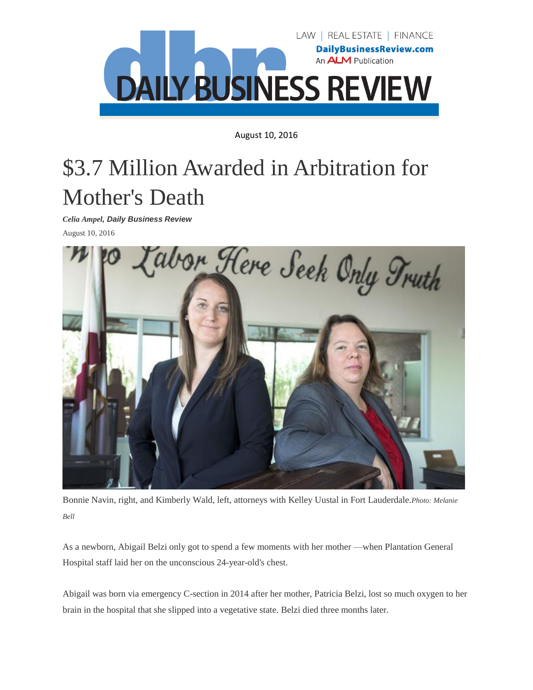

August 10, 2016

## \$3.7 Million Awarded in Arbitration for Mother's Death

*Celia Ampel, Daily Business Review*

August 10, 2016



Bonnie Navin, right, and Kimberly Wald, left, attorneys with Kelley Uustal in Fort Lauderdale.*Photo: Melanie Bell*

As a newborn, Abigail Belzi only got to spend a few moments with her mother —when Plantation General Hospital staff laid her on the unconscious 24-year-old's chest.

Abigail was born via emergency C-section in 2014 after her mother, Patricia Belzi, lost so much oxygen to her brain in the hospital that she slipped into a vegetative state. Belzi died three months later.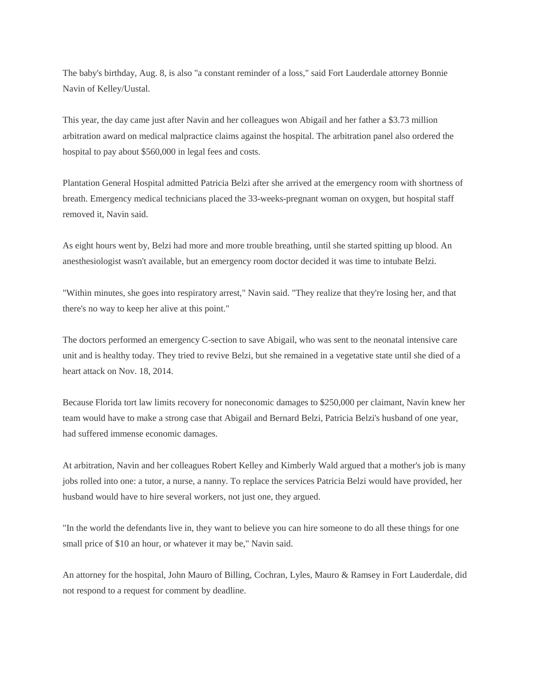The baby's birthday, Aug. 8, is also "a constant reminder of a loss," said Fort Lauderdale attorney Bonnie Navin of Kelley/Uustal.

This year, the day came just after Navin and her colleagues won Abigail and her father a \$3.73 million arbitration award on medical malpractice claims against the hospital. The arbitration panel also ordered the hospital to pay about \$560,000 in legal fees and costs.

Plantation General Hospital admitted Patricia Belzi after she arrived at the emergency room with shortness of breath. Emergency medical technicians placed the 33-weeks-pregnant woman on oxygen, but hospital staff removed it, Navin said.

As eight hours went by, Belzi had more and more trouble breathing, until she started spitting up blood. An anesthesiologist wasn't available, but an emergency room doctor decided it was time to intubate Belzi.

"Within minutes, she goes into respiratory arrest," Navin said. "They realize that they're losing her, and that there's no way to keep her alive at this point."

The doctors performed an emergency C-section to save Abigail, who was sent to the neonatal intensive care unit and is healthy today. They tried to revive Belzi, but she remained in a vegetative state until she died of a heart attack on Nov. 18, 2014.

Because Florida tort law limits recovery for noneconomic damages to \$250,000 per claimant, Navin knew her team would have to make a strong case that Abigail and Bernard Belzi, Patricia Belzi's husband of one year, had suffered immense economic damages.

At arbitration, Navin and her colleagues Robert Kelley and Kimberly Wald argued that a mother's job is many jobs rolled into one: a tutor, a nurse, a nanny. To replace the services Patricia Belzi would have provided, her husband would have to hire several workers, not just one, they argued.

"In the world the defendants live in, they want to believe you can hire someone to do all these things for one small price of \$10 an hour, or whatever it may be," Navin said.

An attorney for the hospital, John Mauro of Billing, Cochran, Lyles, Mauro & Ramsey in Fort Lauderdale, did not respond to a request for comment by deadline.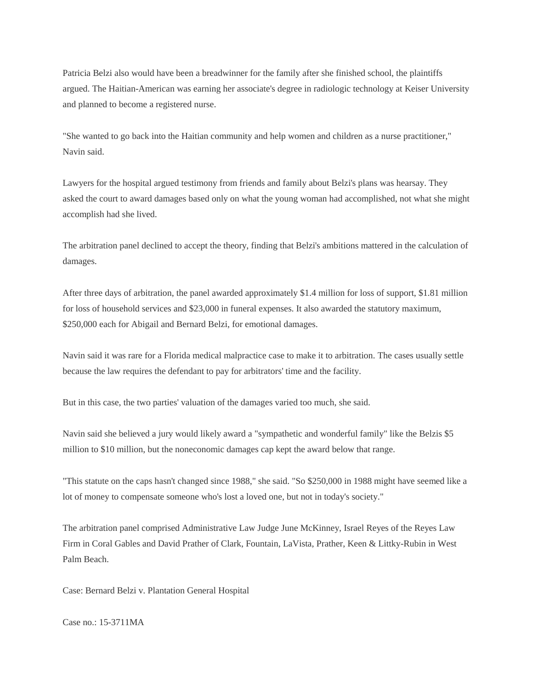Patricia Belzi also would have been a breadwinner for the family after she finished school, the plaintiffs argued. The Haitian-American was earning her associate's degree in radiologic technology at Keiser University and planned to become a registered nurse.

"She wanted to go back into the Haitian community and help women and children as a nurse practitioner," Navin said.

Lawyers for the hospital argued testimony from friends and family about Belzi's plans was hearsay. They asked the court to award damages based only on what the young woman had accomplished, not what she might accomplish had she lived.

The arbitration panel declined to accept the theory, finding that Belzi's ambitions mattered in the calculation of damages.

After three days of arbitration, the panel awarded approximately \$1.4 million for loss of support, \$1.81 million for loss of household services and \$23,000 in funeral expenses. It also awarded the statutory maximum, \$250,000 each for Abigail and Bernard Belzi, for emotional damages.

Navin said it was rare for a Florida medical malpractice case to make it to arbitration. The cases usually settle because the law requires the defendant to pay for arbitrators' time and the facility.

But in this case, the two parties' valuation of the damages varied too much, she said.

Navin said she believed a jury would likely award a "sympathetic and wonderful family" like the Belzis \$5 million to \$10 million, but the noneconomic damages cap kept the award below that range.

"This statute on the caps hasn't changed since 1988," she said. "So \$250,000 in 1988 might have seemed like a lot of money to compensate someone who's lost a loved one, but not in today's society."

The arbitration panel comprised Administrative Law Judge June McKinney, Israel Reyes of the Reyes Law Firm in Coral Gables and David Prather of Clark, Fountain, LaVista, Prather, Keen & Littky-Rubin in West Palm Beach.

Case: Bernard Belzi v. Plantation General Hospital

Case no.: 15-3711MA